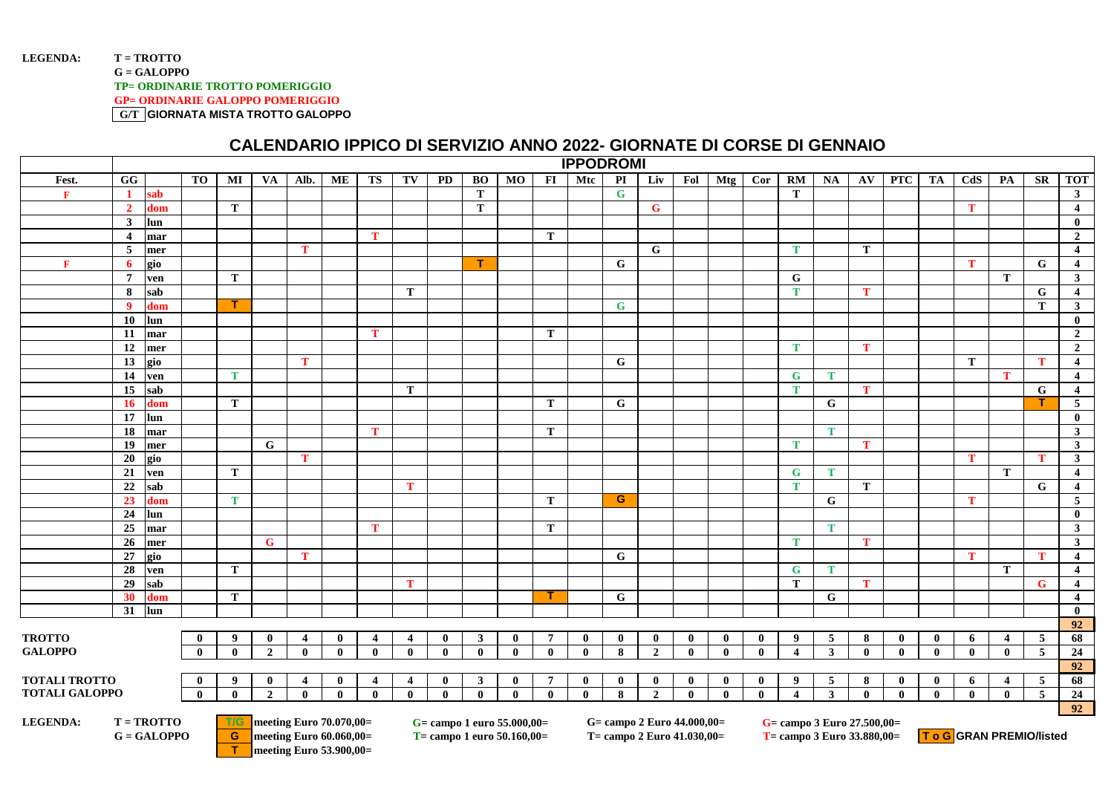## LEGENDA: T = TROTTO **G = GALOPPO TP= ORDINARIE TROTTO POMERIGGIO GP= ORDINARIE GALOPPO POMERIGGIO G/T GIORNATA MISTA TROTTO GALOPPO**

## **CALENDARIO IPPICO DI SERVIZIO ANNO 2022- GIORNATE DI CORSE DI GENNAIO**

|                       |                                |              |              |                | <b>IPPODROMI</b> |              |                         |                |              |              |              |                |              |                          |                |              |              |              |                  |              |              |              |              |              |                         |              |                         |
|-----------------------|--------------------------------|--------------|--------------|----------------|------------------|--------------|-------------------------|----------------|--------------|--------------|--------------|----------------|--------------|--------------------------|----------------|--------------|--------------|--------------|------------------|--------------|--------------|--------------|--------------|--------------|-------------------------|--------------|-------------------------|
| Fest.                 | G                              | <b>TO</b>    | MI           | VA             | Alb.             | ME           | <b>TS</b>               | TV             | PD           | <b>BO</b>    | MO           | F1             | Mtc          | $\overline{\mathbf{PI}}$ | Liv            | Fol          | Mtg          | Cor          | $\overline{RM}$  | NA           | AV           | <b>PTC</b>   | TA           | CdS          | PA                      | SR           | <b>TOT</b>              |
| $\mathbf{F}$          | sab                            |              |              |                |                  |              |                         |                |              | T            |              |                |              | $\mathbf G$              |                |              |              |              | T                |              |              |              |              |              |                         |              | $\mathbf{3}$            |
|                       | $\overline{2}$<br>dom          |              | $\bf{T}$     |                |                  |              |                         |                |              | $\bf{T}$     |              |                |              |                          | $\mathbf G$    |              |              |              |                  |              |              |              |              | $\bf{T}$     |                         |              | $\overline{4}$          |
|                       | $\mathbf{3}$<br>lun            |              |              |                |                  |              |                         |                |              |              |              |                |              |                          |                |              |              |              |                  |              |              |              |              |              |                         |              | $\mathbf{0}$            |
|                       | $\overline{\mathbf{4}}$<br>mar |              |              |                |                  |              | $\mathbf{T}$            |                |              |              |              | T              |              |                          |                |              |              |              |                  |              |              |              |              |              |                         |              | $\overline{2}$          |
|                       | 5<br>mer                       |              |              |                | T                |              |                         |                |              |              |              |                |              |                          | $\mathbf G$    |              |              |              | <b>T</b>         |              | T            |              |              |              |                         |              | $\overline{4}$          |
| $\mathbf{F}$          | gio<br>-6                      |              |              |                |                  |              |                         |                |              | т            |              |                |              | G                        |                |              |              |              |                  |              |              |              |              | T            |                         | G            | $\overline{\mathbf{4}}$ |
|                       | $7\phantom{.0}$<br>ven         |              | T            |                |                  |              |                         |                |              |              |              |                |              |                          |                |              |              |              | G                |              |              |              |              |              | $\bf{T}$                |              | $\overline{\mathbf{3}}$ |
|                       | 8<br>sab                       |              |              |                |                  |              |                         | T              |              |              |              |                |              |                          |                |              |              |              | T                |              | T            |              |              |              |                         | G            | $\overline{\mathbf{4}}$ |
|                       | $\overline{9}$<br>dom          |              | п            |                |                  |              |                         |                |              |              |              |                |              | $\mathbf G$              |                |              |              |              |                  |              |              |              |              |              |                         | T            | $\mathbf{3}$            |
|                       | <b>10</b><br>lun               |              |              |                |                  |              |                         |                |              |              |              |                |              |                          |                |              |              |              |                  |              |              |              |              |              |                         |              | $\mathbf{0}$            |
|                       | 11<br>mar                      |              |              |                |                  |              | T                       |                |              |              |              | T              |              |                          |                |              |              |              |                  |              |              |              |              |              |                         |              | $\overline{2}$          |
|                       | 12<br>mer                      |              |              |                |                  |              |                         |                |              |              |              |                |              |                          |                |              |              |              | T                |              | T            |              |              |              |                         |              | $\overline{2}$          |
|                       | 13<br>gio                      |              |              |                | $\mathbf{T}$     |              |                         |                |              |              |              |                |              | G                        |                |              |              |              |                  |              |              |              |              | T            |                         | $\mathbf{T}$ | $\overline{4}$          |
|                       | 14<br>ven                      |              | $\bf{T}$     |                |                  |              |                         |                |              |              |              |                |              |                          |                |              |              |              | G                | T            |              |              |              |              | $\bf{T}$                |              | $\overline{4}$          |
|                       | 15<br>sab                      |              |              |                |                  |              |                         | T              |              |              |              |                |              |                          |                |              |              |              | T.               |              | $\mathbf{T}$ |              |              |              |                         | G            | $\overline{\mathbf{4}}$ |
|                       | <b>16</b><br>dom               |              | $\bf{T}$     |                |                  |              |                         |                |              |              |              | T              |              | G                        |                |              |              |              |                  | G            |              |              |              |              |                         | т.           | 5                       |
|                       | 17<br>lun                      |              |              |                |                  |              |                         |                |              |              |              |                |              |                          |                |              |              |              |                  |              |              |              |              |              |                         |              | $\mathbf{0}$            |
|                       | 18<br>mar                      |              |              |                |                  |              | T                       |                |              |              |              | T              |              |                          |                |              |              |              |                  | T            |              |              |              |              |                         |              | $\mathbf{3}$            |
|                       | 19<br>mer                      |              |              | G              |                  |              |                         |                |              |              |              |                |              |                          |                |              |              |              | T.               |              | $\mathbf{T}$ |              |              |              |                         |              | $\mathbf{3}$            |
|                       | 20<br>gio                      |              |              |                | $\mathbf{T}$     |              |                         |                |              |              |              |                |              |                          |                |              |              |              |                  |              |              |              |              | T            |                         | $\mathbf{T}$ | $\mathbf{3}$            |
|                       | 21<br>ven                      |              | $\mathbf T$  |                |                  |              |                         |                |              |              |              |                |              |                          |                |              |              |              | G                | Т            |              |              |              |              | $\bf{T}$                |              | $\overline{4}$          |
|                       | 22<br>sab                      |              |              |                |                  |              |                         | T              |              |              |              |                |              |                          |                |              |              |              | T                |              | T            |              |              |              |                         | G            | $\overline{4}$          |
|                       | 23<br>dom                      |              | T            |                |                  |              |                         |                |              |              |              | T              |              | G                        |                |              |              |              |                  | G            |              |              |              | T            |                         |              | 5 <sub>5</sub>          |
|                       | 24<br>lun                      |              |              |                |                  |              |                         |                |              |              |              |                |              |                          |                |              |              |              |                  |              |              |              |              |              |                         |              | $\mathbf{0}$            |
|                       | 25<br>mar                      |              |              |                |                  |              | T                       |                |              |              |              | T              |              |                          |                |              |              |              |                  | $\mathbf{T}$ |              |              |              |              |                         |              | $\mathbf{3}$            |
|                       | 26<br>mer                      |              |              | $\mathbf G$    |                  |              |                         |                |              |              |              |                |              |                          |                |              |              |              | $\mathbf{T}$     |              | T            |              |              |              |                         |              | $\mathbf{3}$            |
|                       | 27<br>gio                      |              |              |                | $\mathbf{T}$     |              |                         |                |              |              |              |                |              | G                        |                |              |              |              |                  |              |              |              |              | $\mathbf{T}$ |                         | $\mathbf{T}$ | $\overline{4}$          |
|                       | 28<br>ven                      |              | ${\bf T}$    |                |                  |              |                         |                |              |              |              |                |              |                          |                |              |              |              | G                | T            |              |              |              |              | T                       |              | $\overline{\mathbf{4}}$ |
|                       | 29<br>sab                      |              |              |                |                  |              |                         | T              |              |              |              |                |              |                          |                |              |              |              | T                |              | T            |              |              |              |                         | G            | $\overline{\mathbf{4}}$ |
|                       | 30<br>dom                      |              | T            |                |                  |              |                         |                |              |              |              |                |              | G                        |                |              |              |              |                  | G            |              |              |              |              |                         |              | $\overline{\mathbf{4}}$ |
|                       | 31<br>lun                      |              |              |                |                  |              |                         |                |              |              |              |                |              |                          |                |              |              |              |                  |              |              |              |              |              |                         |              | $\mathbf{0}$            |
|                       |                                |              |              |                |                  |              |                         |                |              |              |              |                |              |                          |                |              |              |              |                  |              |              |              |              |              |                         | 92           |                         |
| <b>TROTTO</b>         |                                | $\bf{0}$     | 9            | $\bf{0}$       | $\overline{4}$   | $\mathbf{0}$ | $\overline{\mathbf{4}}$ | $\overline{4}$ | $\bf{0}$     | $\mathbf{3}$ | $\mathbf{0}$ | $\overline{7}$ | $\bf{0}$     | $\mathbf{0}$             | $\mathbf{0}$   | $\mathbf{0}$ | $\bf{0}$     | $\mathbf{0}$ | 9                | 5            | 8            | $\mathbf{0}$ | $\bf{0}$     | 6            | $\overline{4}$          | 5            | 68                      |
| <b>GALOPPO</b>        |                                | $\mathbf{0}$ | $\mathbf{0}$ | $\overline{2}$ | $\mathbf{0}$     | $\mathbf{0}$ | $\mathbf{0}$            | $\mathbf{0}$   | $\bf{0}$     | $\mathbf{0}$ | $\mathbf{0}$ | $\mathbf{0}$   | $\mathbf{0}$ | 8                        | $\overline{2}$ | $\bf{0}$     | $\mathbf{0}$ | $\mathbf{0}$ | $\overline{4}$   | $\mathbf{3}$ | $\mathbf{0}$ | $\mathbf{0}$ | $\bf{0}$     | $\bf{0}$     | $\mathbf{0}$            | 5            | $\overline{24}$         |
|                       |                                |              |              |                |                  |              |                         |                |              |              |              |                |              |                          |                |              |              |              |                  |              |              |              |              |              |                         |              | 92                      |
| <b>TOTALI TROTTO</b>  |                                | $\mathbf{0}$ | 9            | $\mathbf{0}$   | 4                | $\mathbf{0}$ | $\overline{\mathbf{4}}$ | $\overline{4}$ | $\mathbf{0}$ | $\mathbf{3}$ | $\mathbf{0}$ | $\overline{7}$ | $\mathbf{0}$ | $\mathbf{0}$             | $\mathbf{0}$   | $\mathbf{0}$ | $\mathbf{0}$ | $\mathbf{0}$ | $\boldsymbol{9}$ | 5            | 8            | $\bf{0}$     | $\mathbf{0}$ | 6            | $\overline{\mathbf{4}}$ | 5            | 68                      |
| <b>TOTALI GALOPPO</b> |                                | $\bf{0}$     | $\mathbf{0}$ | $\overline{2}$ | $\mathbf{0}$     | $\mathbf{0}$ | $\mathbf{0}$            | $\mathbf{0}$   | $\bf{0}$     | $\mathbf{0}$ | $\mathbf{0}$ | $\mathbf{0}$   | $\mathbf{0}$ | 8                        | $\overline{2}$ | $\mathbf{0}$ | $\mathbf{0}$ | $\mathbf{0}$ | $\overline{4}$   | $\mathbf{3}$ | $\mathbf{0}$ | $\mathbf{0}$ | $\mathbf{0}$ | $\mathbf{0}$ | $\mathbf{0}$            | 5            | 24                      |
|                       |                                |              |              |                |                  |              |                         |                |              |              |              |                |              |                          |                |              |              |              |                  |              |              |              |              |              |                         |              | 92                      |

**T meeting Euro 53.900,00=**

**LEGENDA:** T = TROTTO **T/G** meeting Euro 70.070,00= G= campo 1 euro 55.000,00= G= campo 2 Euro 44.000,00= G= campo 3 Euro 27.500,00= G= GALOPPO **G** meeting Euro 60.060,00= T = campo 1 euro 50.160,00= T = campo 2 Euro 41.03